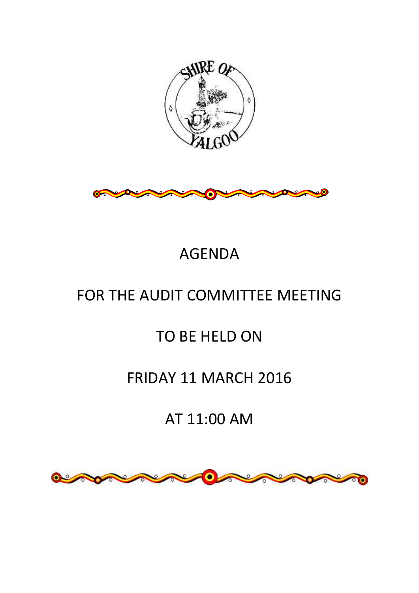



# AGENDA

# FOR THE AUDIT COMMITTEE MEETING

# TO BE HELD ON

# FRIDAY 11 MARCH 2016

# AT 11:00 AM

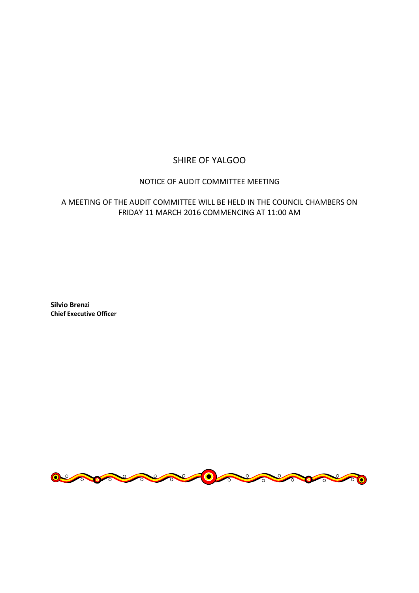## SHIRE OF YALGOO

### NOTICE OF AUDIT COMMITTEE MEETING

### A MEETING OF THE AUDIT COMMITTEE WILL BE HELD IN THE COUNCIL CHAMBERS ON FRIDAY 11 MARCH 2016 COMMENCING AT 11:00 AM

**Silvio Brenzi Chief Executive Officer**

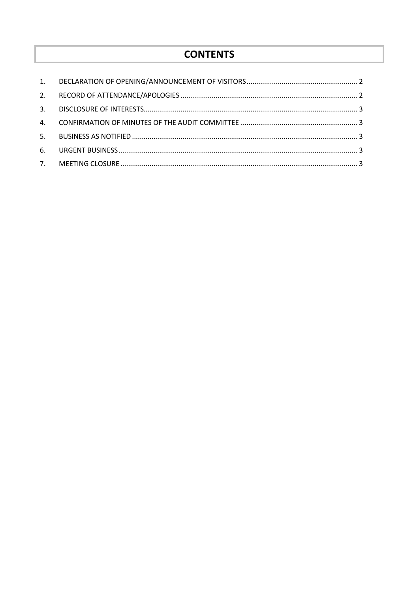# **CONTENTS**

| 2.             |  |
|----------------|--|
| 3.             |  |
| $\mathbf{A}$ . |  |
| 5.             |  |
| 6.             |  |
|                |  |
|                |  |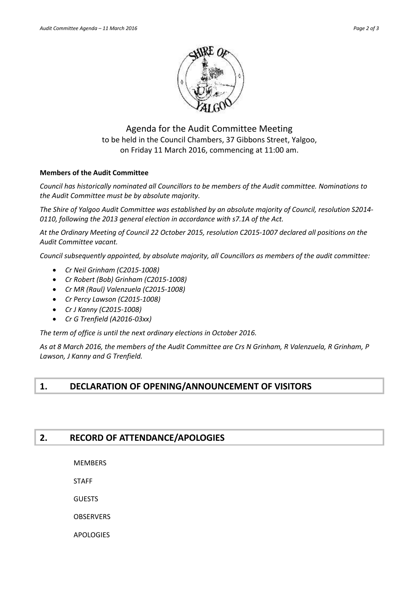

Agenda for the Audit Committee Meeting to be held in the Council Chambers, 37 Gibbons Street, Yalgoo, on Friday 11 March 2016, commencing at 11:00 am.

#### **Members of the Audit Committee**

*Council has historically nominated all Councillors to be members of the Audit committee. Nominations to the Audit Committee must be by absolute majority.*

*The Shire of Yalgoo Audit Committee was established by an absolute majority of Council, resolution S2014- 0110, following the 2013 general election in accordance with s7.1A of the Act.*

*At the Ordinary Meeting of Council 22 October 2015, resolution C2015-1007 declared all positions on the Audit Committee vacant.*

*Council subsequently appointed, by absolute majority, all Councillors as members of the audit committee:*

- *Cr Neil Grinham (C2015-1008)*
- *Cr Robert (Bob) Grinham (C2015-1008)*
- *Cr MR (Raul) Valenzuela (C2015-1008)*
- *Cr Percy Lawson (C2015-1008)*
- *Cr J Kanny (C2015-1008)*
- *Cr G Trenfield (A2016-03xx)*

*The term of office is until the next ordinary elections in October 2016.*

*As at 8 March 2016, the members of the Audit Committee are Crs N Grinham, R Valenzuela, R Grinham, P Lawson, J Kanny and G Trenfield.*

## <span id="page-3-0"></span>**1. DECLARATION OF OPENING/ANNOUNCEMENT OF VISITORS**

### <span id="page-3-1"></span>**2. RECORD OF ATTENDANCE/APOLOGIES**

MEMBERS

STAFF

GUESTS

**OBSERVERS** 

APOLOGIES